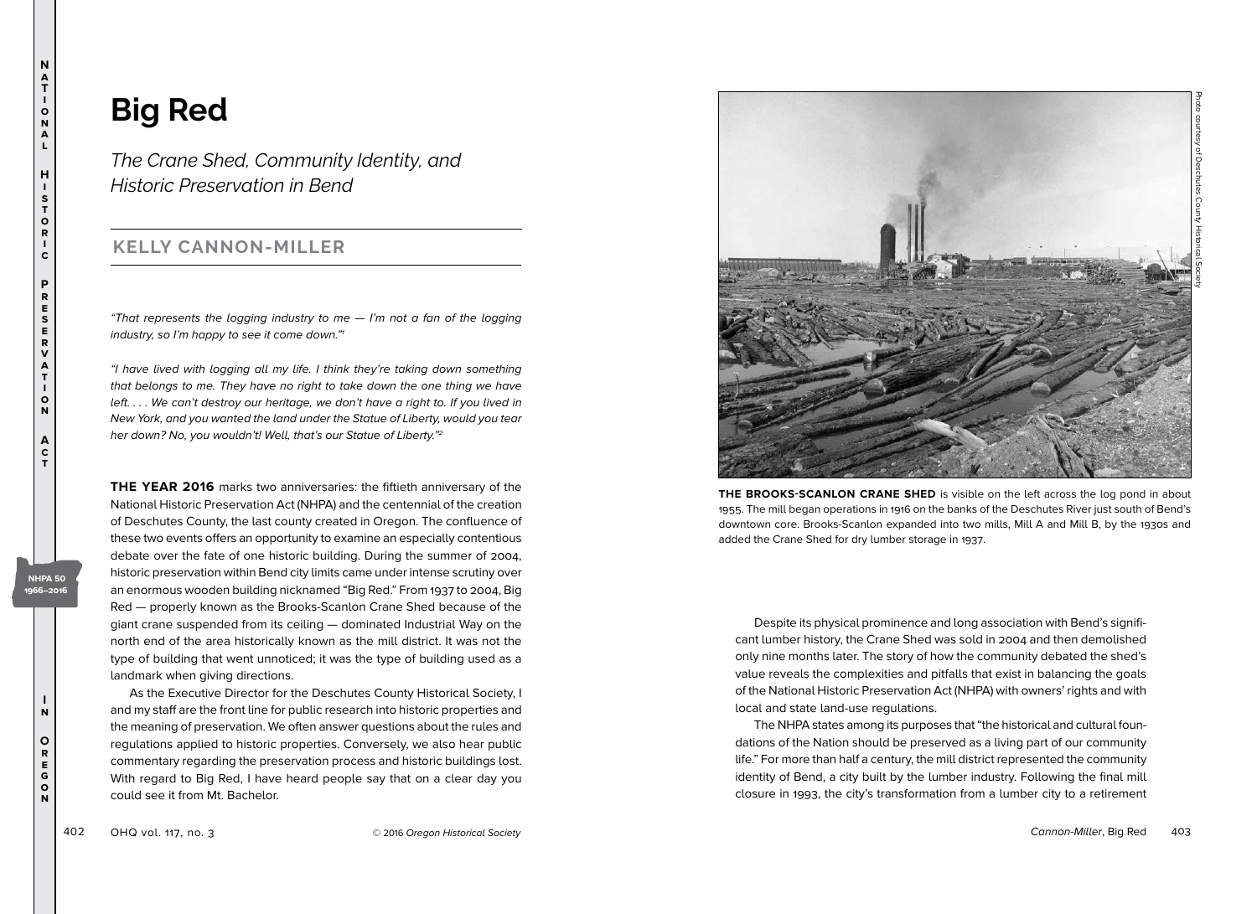**I n**

**NHPA 50 1966–2016**

> **O r e g o n**

**N**

## **Big Red**

*The Crane Shed, Community Identity, and Historic Preservation in Bend*

## **KELLY CANNON-MILLER**

"That represents the logging industry to me  $-$  I'm not a fan of the logging industry, so I'm happy to see it come down."1

"I have lived with logging all my life. I think they're taking down something that belongs to me. They have no right to take down the one thing we have left. . . . We can't destroy our heritage, we don't have a right to. If you lived in New York, and you wanted the land under the Statue of Liberty, would you tear her down? No, you wouldn't! Well, that's our Statue of Liberty."<sup>2</sup>

**THE YEAR 2016** marks two anniversaries: the fiftieth anniversary of the National Historic Preservation Act (NHPA) and the centennial of the creation of Deschutes County, the last county created in Oregon. The confluence of these two events offers an opportunity to examine an especially contentious debate over the fate of one historic building. During the summer of 2004, historic preservation within Bend city limits came under intense scrutiny over an enormous wooden building nicknamed "Big Red." From 1937 to 2004, Big Red — properly known as the Brooks-Scanlon Crane Shed because of the giant crane suspended from its ceiling — dominated Industrial Way on the north end of the area historically known as the mill district. It was not the type of building that went unnoticed; it was the type of building used as a landmark when giving directions.

As the Executive Director for the Deschutes County Historical Society, I and my staff are the front line for public research into historic properties and the meaning of preservation. We often answer questions about the rules and regulations applied to historic properties. Conversely, we also hear public commentary regarding the preservation process and historic buildings lost. With regard to Big Red, I have heard people say that on a clear day you could see it from Mt. Bachelor.



**THE BROOKS-SCANLON CRANE SHED** is visible on the left across the log pond in about 1955. The mill began operations in 1916 on the banks of the Deschutes River just south of Bend's downtown core. Brooks-Scanlon expanded into two mills, Mill A and Mill B, by the 1930s and added the Crane Shed for dry lumber storage in 1937.

Despite its physical prominence and long association with Bend's significant lumber history, the Crane Shed was sold in 2004 and then demolished only nine months later. The story of how the community debated the shed's value reveals the complexities and pitfalls that exist in balancing the goals of the National Historic Preservation Act (NHPA) with owners' rights and with local and state land-use regulations.

The NHPA states among its purposes that "the historical and cultural foundations of the Nation should be preserved as a living part of our community life." For more than half a century, the mill district represented the community identity of Bend, a city built by the lumber industry. Following the final mill closure in 1993, the city's transformation from a lumber city to a retirement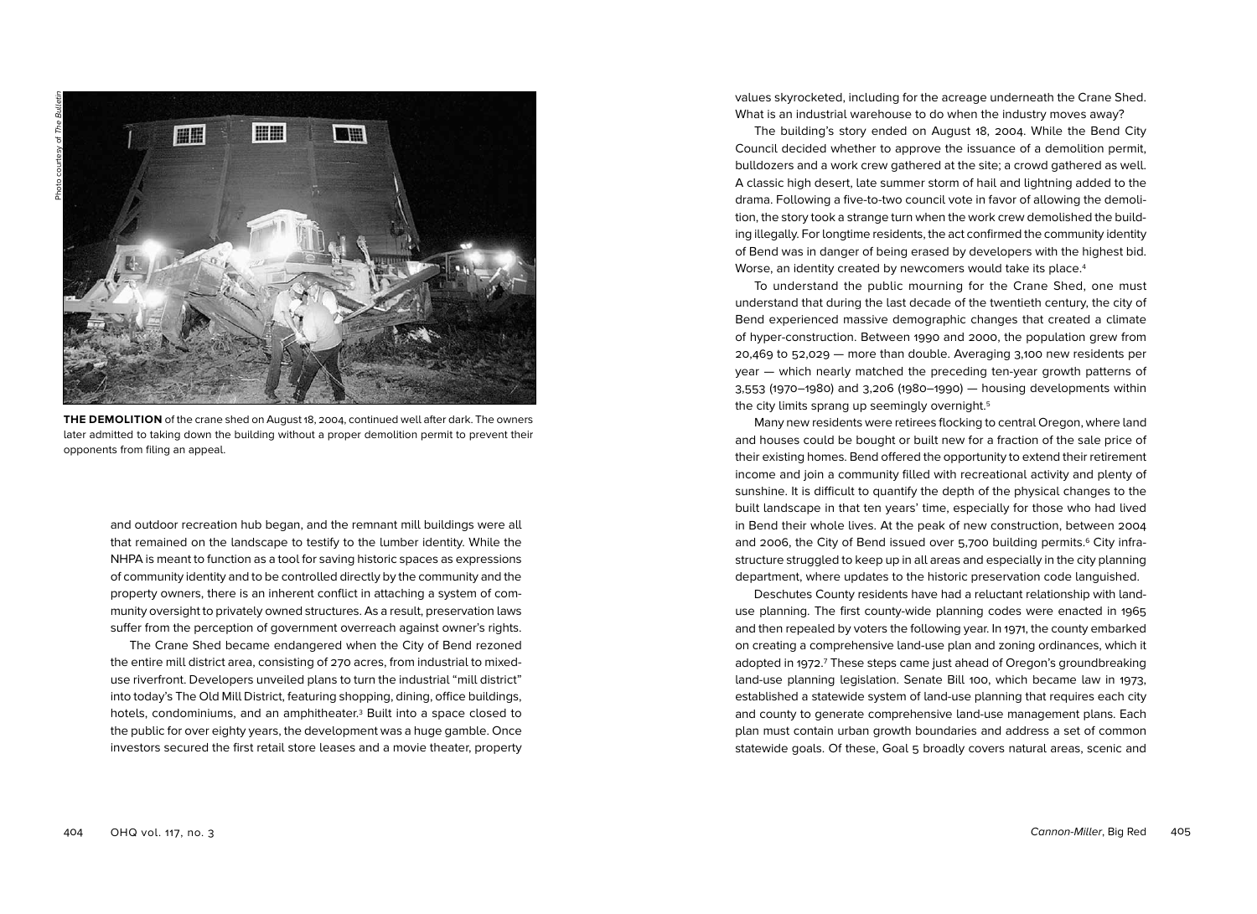

**THE DEMOLITION** of the crane shed on August 18, 2004, continued well after dark. The owners later admitted to taking down the building without a proper demolition permit to prevent their opponents from filing an appeal.

and outdoor recreation hub began, and the remnant mill buildings were all that remained on the landscape to testify to the lumber identity. While the NHPA is meant to function as a tool for saving historic spaces as expressions of community identity and to be controlled directly by the community and the property owners, there is an inherent conflict in attaching a system of community oversight to privately owned structures. As a result, preservation laws suffer from the perception of government overreach against owner's rights.

The Crane Shed became endangered when the City of Bend rezoned the entire mill district area, consisting of 270 acres, from industrial to mixeduse riverfront. Developers unveiled plans to turn the industrial "mill district" into today's The Old Mill District, featuring shopping, dining, office buildings, hotels, condominiums, and an amphitheater.3 Built into a space closed to the public for over eighty years, the development was a huge gamble. Once investors secured the first retail store leases and a movie theater, property

404 OHQ vol. 117, no. 3 Cannon-Miller, Big Red 405

values skyrocketed, including for the acreage underneath the Crane Shed. What is an industrial warehouse to do when the industry moves away?

The building's story ended on August 18, 2004. While the Bend City Council decided whether to approve the issuance of a demolition permit, bulldozers and a work crew gathered at the site; a crowd gathered as well. A classic high desert, late summer storm of hail and lightning added to the drama. Following a five-to-two council vote in favor of allowing the demolition, the story took a strange turn when the work crew demolished the building illegally. For longtime residents, the act confirmed the community identity of Bend was in danger of being erased by developers with the highest bid. Worse, an identity created by newcomers would take its place.<sup>4</sup>

To understand the public mourning for the Crane Shed, one must understand that during the last decade of the twentieth century, the city of Bend experienced massive demographic changes that created a climate of hyper-construction. Between 1990 and 2000, the population grew from 20,469 to 52,029 — more than double. Averaging 3,100 new residents per year — which nearly matched the preceding ten-year growth patterns of 3,553 (1970–1980) and 3,206 (1980–1990) — housing developments within the city limits sprang up seemingly overnight.5

Many new residents were retirees flocking to central Oregon, where land and houses could be bought or built new for a fraction of the sale price of their existing homes. Bend offered the opportunity to extend their retirement income and join a community filled with recreational activity and plenty of sunshine. It is difficult to quantify the depth of the physical changes to the built landscape in that ten years' time, especially for those who had lived in Bend their whole lives. At the peak of new construction, between 2004 and 2006, the City of Bend issued over 5,700 building permits.<sup>6</sup> City infrastructure struggled to keep up in all areas and especially in the city planning department, where updates to the historic preservation code languished.

Deschutes County residents have had a reluctant relationship with landuse planning. The first county-wide planning codes were enacted in 1965 and then repealed by voters the following year. In 1971, the county embarked on creating a comprehensive land-use plan and zoning ordinances, which it adopted in 1972.<sup>7</sup> These steps came just ahead of Oregon's groundbreaking land-use planning legislation. Senate Bill 100, which became law in 1973, established a statewide system of land-use planning that requires each city and county to generate comprehensive land-use management plans. Each plan must contain urban growth boundaries and address a set of common statewide goals. Of these, Goal 5 broadly covers natural areas, scenic and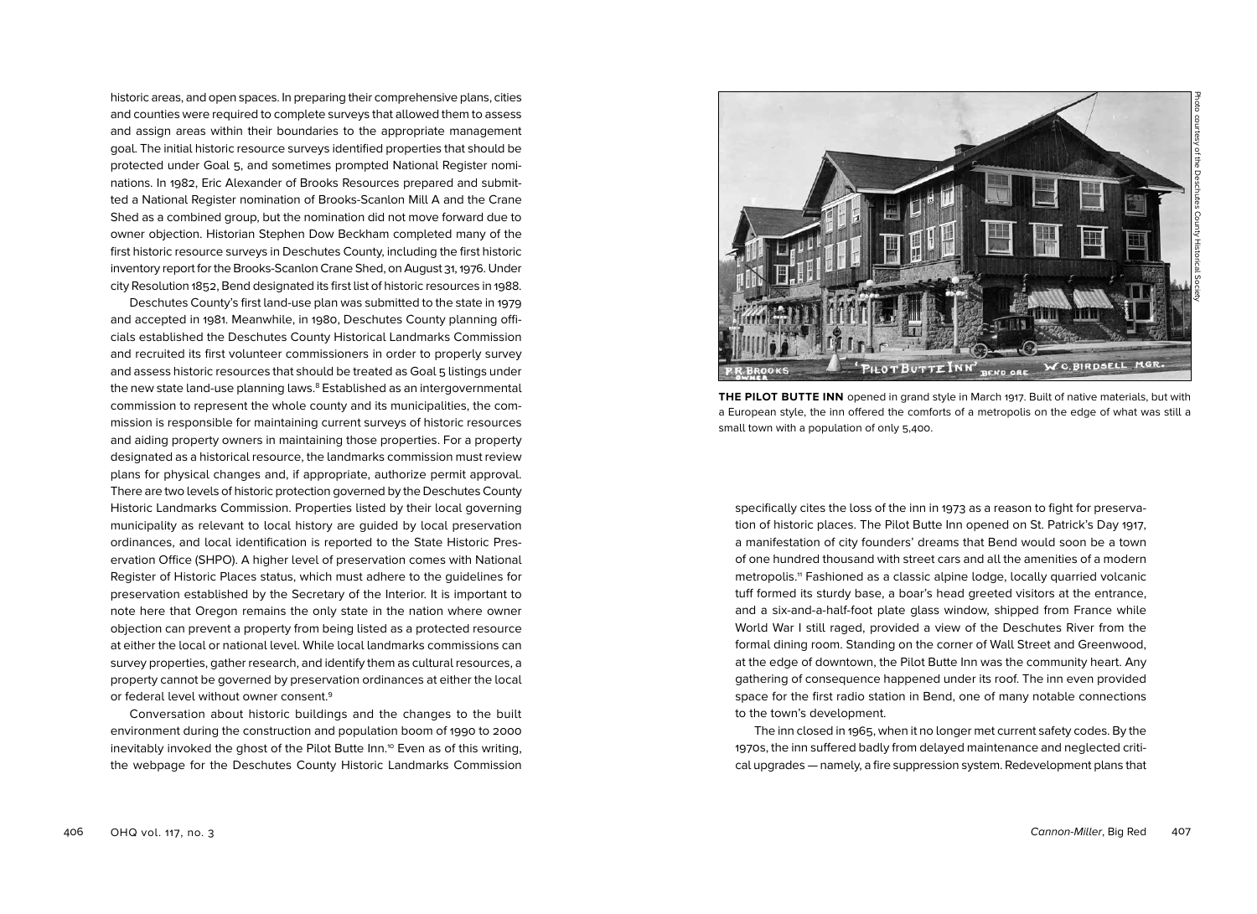historic areas, and open spaces. In preparing their comprehensive plans, cities and counties were required to complete surveys that allowed them to assess and assign areas within their boundaries to the appropriate management goal. The initial historic resource surveys identified properties that should be protected under Goal 5, and sometimes prompted National Register nominations. In 1982, Eric Alexander of Brooks Resources prepared and submitted a National Register nomination of Brooks-Scanlon Mill A and the Crane Shed as a combined group, but the nomination did not move forward due to owner objection. Historian Stephen Dow Beckham completed many of the first historic resource surveys in Deschutes County, including the first historic inventory report for the Brooks-Scanlon Crane Shed, on August 31, 1976. Under city Resolution 1852, Bend designated its first list of historic resources in 1988.

Deschutes County's first land-use plan was submitted to the state in 1979 and accepted in 1981. Meanwhile, in 1980, Deschutes County planning officials established the Deschutes County Historical Landmarks Commission and recruited its first volunteer commissioners in order to properly survey and assess historic resources that should be treated as Goal 5 listings under the new state land-use planning laws.<sup>8</sup> Established as an intergovernmental commission to represent the whole county and its municipalities, the commission is responsible for maintaining current surveys of historic resources and aiding property owners in maintaining those properties. For a property designated as a historical resource, the landmarks commission must review plans for physical changes and, if appropriate, authorize permit approval. There are two levels of historic protection governed by the Deschutes County Historic Landmarks Commission. Properties listed by their local governing municipality as relevant to local history are guided by local preservation ordinances, and local identification is reported to the State Historic Preservation Office (SHPO). A higher level of preservation comes with National Register of Historic Places status, which must adhere to the guidelines for preservation established by the Secretary of the Interior. It is important to note here that Oregon remains the only state in the nation where owner objection can prevent a property from being listed as a protected resource at either the local or national level. While local landmarks commissions can survey properties, gather research, and identify them as cultural resources, a property cannot be governed by preservation ordinances at either the local or federal level without owner consent.9

Conversation about historic buildings and the changes to the built environment during the construction and population boom of 1990 to 2000 inevitably invoked the ghost of the Pilot Butte Inn.10 Even as of this writing, the webpage for the Deschutes County Historic Landmarks Commission



**THE PILOT BUTTE INN** opened in grand style in March 1917. Built of native materials, but with a European style, the inn offered the comforts of a metropolis on the edge of what was still a small town with a population of only 5,400.

specifically cites the loss of the inn in 1973 as a reason to fight for preservation of historic places. The Pilot Butte Inn opened on St. Patrick's Day 1917, a manifestation of city founders' dreams that Bend would soon be a town of one hundred thousand with street cars and all the amenities of a modern metropolis.<sup>11</sup> Fashioned as a classic alpine lodge, locally quarried volcanic tuff formed its sturdy base, a boar's head greeted visitors at the entrance, and a six-and-a-half-foot plate glass window, shipped from France while World War I still raged, provided a view of the Deschutes River from the formal dining room. Standing on the corner of Wall Street and Greenwood, at the edge of downtown, the Pilot Butte Inn was the community heart. Any gathering of consequence happened under its roof. The inn even provided space for the first radio station in Bend, one of many notable connections to the town's development.

The inn closed in 1965, when it no longer met current safety codes. By the 1970s, the inn suffered badly from delayed maintenance and neglected critical upgrades — namely, a fire suppression system. Redevelopment plans that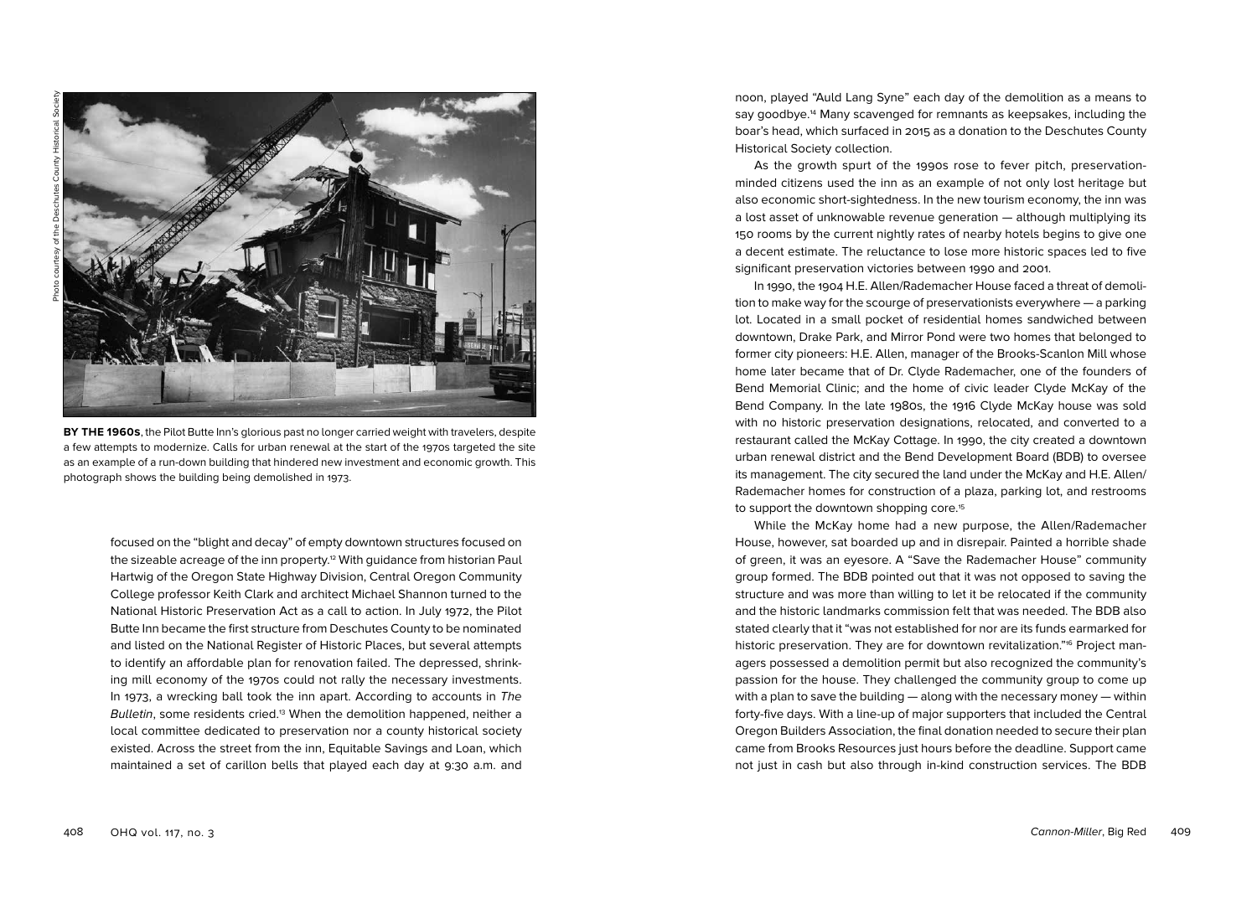

**BY THE 1960s**, the Pilot Butte Inn's glorious past no longer carried weight with travelers, despite a few attempts to modernize. Calls for urban renewal at the start of the 1970s targeted the site as an example of a run-down building that hindered new investment and economic growth. This photograph shows the building being demolished in 1973.

focused on the "blight and decay" of empty downtown structures focused on the sizeable acreage of the inn property.<sup>12</sup> With guidance from historian Paul Hartwig of the Oregon State Highway Division, Central Oregon Community College professor Keith Clark and architect Michael Shannon turned to the National Historic Preservation Act as a call to action. In July 1972, the Pilot Butte Inn became the first structure from Deschutes County to be nominated and listed on the National Register of Historic Places, but several attempts to identify an affordable plan for renovation failed. The depressed, shrinking mill economy of the 1970s could not rally the necessary investments. In 1973, a wrecking ball took the inn apart. According to accounts in The Bulletin, some residents cried.<sup>13</sup> When the demolition happened, neither a local committee dedicated to preservation nor a county historical society existed. Across the street from the inn, Equitable Savings and Loan, which maintained a set of carillon bells that played each day at 9:30 a.m. and

noon, played "Auld Lang Syne" each day of the demolition as a means to say goodbye.14 Many scavenged for remnants as keepsakes, including the boar's head, which surfaced in 2015 as a donation to the Deschutes County Historical Society collection.

As the growth spurt of the 1990s rose to fever pitch, preservationminded citizens used the inn as an example of not only lost heritage but also economic short-sightedness. In the new tourism economy, the inn was a lost asset of unknowable revenue generation — although multiplying its 150 rooms by the current nightly rates of nearby hotels begins to give one a decent estimate. The reluctance to lose more historic spaces led to five significant preservation victories between 1990 and 2001.

In 1990, the 1904 H.E. Allen/Rademacher House faced a threat of demolition to make way for the scourge of preservationists everywhere — a parking lot. Located in a small pocket of residential homes sandwiched between downtown, Drake Park, and Mirror Pond were two homes that belonged to former city pioneers: H.E. Allen, manager of the Brooks-Scanlon Mill whose home later became that of Dr. Clyde Rademacher, one of the founders of Bend Memorial Clinic; and the home of civic leader Clyde McKay of the Bend Company. In the late 1980s, the 1916 Clyde McKay house was sold with no historic preservation designations, relocated, and converted to a restaurant called the McKay Cottage. In 1990, the city created a downtown urban renewal district and the Bend Development Board (BDB) to oversee its management. The city secured the land under the McKay and H.E. Allen/ Rademacher homes for construction of a plaza, parking lot, and restrooms to support the downtown shopping core.<sup>15</sup>

While the McKay home had a new purpose, the Allen/Rademacher House, however, sat boarded up and in disrepair. Painted a horrible shade of green, it was an eyesore. A "Save the Rademacher House" community group formed. The BDB pointed out that it was not opposed to saving the structure and was more than willing to let it be relocated if the community and the historic landmarks commission felt that was needed. The BDB also stated clearly that it "was not established for nor are its funds earmarked for historic preservation. They are for downtown revitalization."<sup>6</sup> Project managers possessed a demolition permit but also recognized the community's passion for the house. They challenged the community group to come up with a plan to save the building — along with the necessary money — within forty-five days. With a line-up of major supporters that included the Central Oregon Builders Association, the final donation needed to secure their plan came from Brooks Resources just hours before the deadline. Support came not just in cash but also through in-kind construction services. The BDB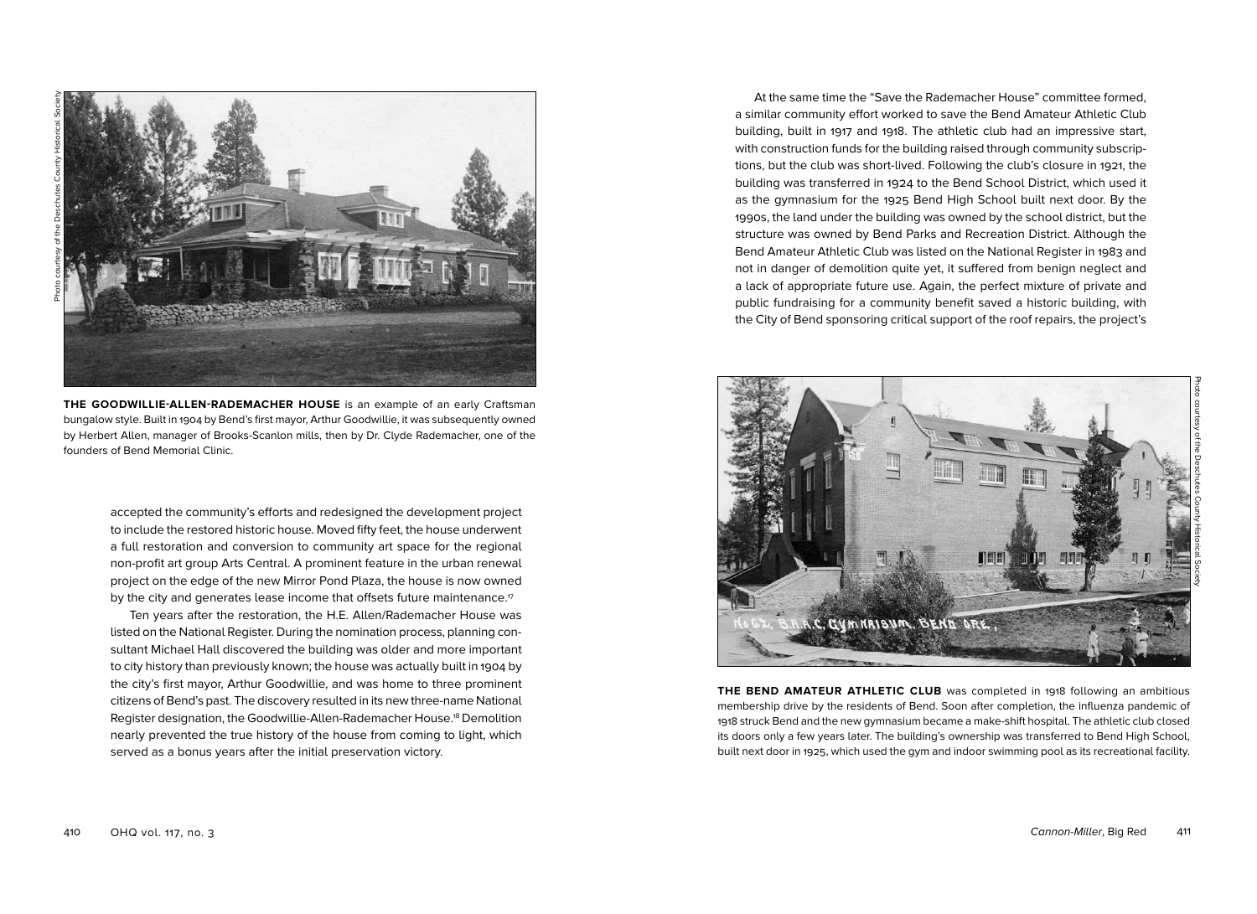

**THE GOODWILLIE-ALLEN-RADEMACHER HOUSE** is an example of an early Craftsman bungalow style. Built in 1904 by Bend's first mayor, Arthur Goodwillie, it was subsequently owned by Herbert Allen, manager of Brooks-Scanlon mills, then by Dr. Clyde Rademacher, one of the founders of Bend Memorial Clinic.

accepted the community's efforts and redesigned the development project to include the restored historic house. Moved fifty feet, the house underwent a full restoration and conversion to community art space for the regional non-profit art group Arts Central. A prominent feature in the urban renewal project on the edge of the new Mirror Pond Plaza, the house is now owned by the city and generates lease income that offsets future maintenance.<sup>17</sup>

Ten years after the restoration, the H.E. Allen/Rademacher House was listed on the National Register. During the nomination process, planning consultant Michael Hall discovered the building was older and more important to city history than previously known; the house was actually built in 1904 by the city's first mayor, Arthur Goodwillie, and was home to three prominent citizens of Bend's past. The discovery resulted in its new three-name National Register designation, the Goodwillie-Allen-Rademacher House.18 Demolition nearly prevented the true history of the house from coming to light, which served as a bonus years after the initial preservation victory.

At the same time the "Save the Rademacher House" committee formed, a similar community effort worked to save the Bend Amateur Athletic Club building, built in 1917 and 1918. The athletic club had an impressive start, with construction funds for the building raised through community subscriptions, but the club was short-lived. Following the club's closure in 1921, the building was transferred in 1924 to the Bend School District, which used it as the gymnasium for the 1925 Bend High School built next door. By the 1990s, the land under the building was owned by the school district, but the structure was owned by Bend Parks and Recreation District. Although the Bend Amateur Athletic Club was listed on the National Register in 1983 and not in danger of demolition quite yet, it suffered from benign neglect and a lack of appropriate future use. Again, the perfect mixture of private and public fundraising for a community benefit saved a historic building, with the City of Bend sponsoring critical support of the roof repairs, the project's



**THE BEND AMATEUR ATHLETIC CLUB** was completed in 1918 following an ambitious membership drive by the residents of Bend. Soon after completion, the influenza pandemic of 1918 struck Bend and the new gymnasium became a make-shift hospital. The athletic club closed its doors only a few years later. The building's ownership was transferred to Bend High School, built next door in 1925, which used the gym and indoor swimming pool as its recreational facility.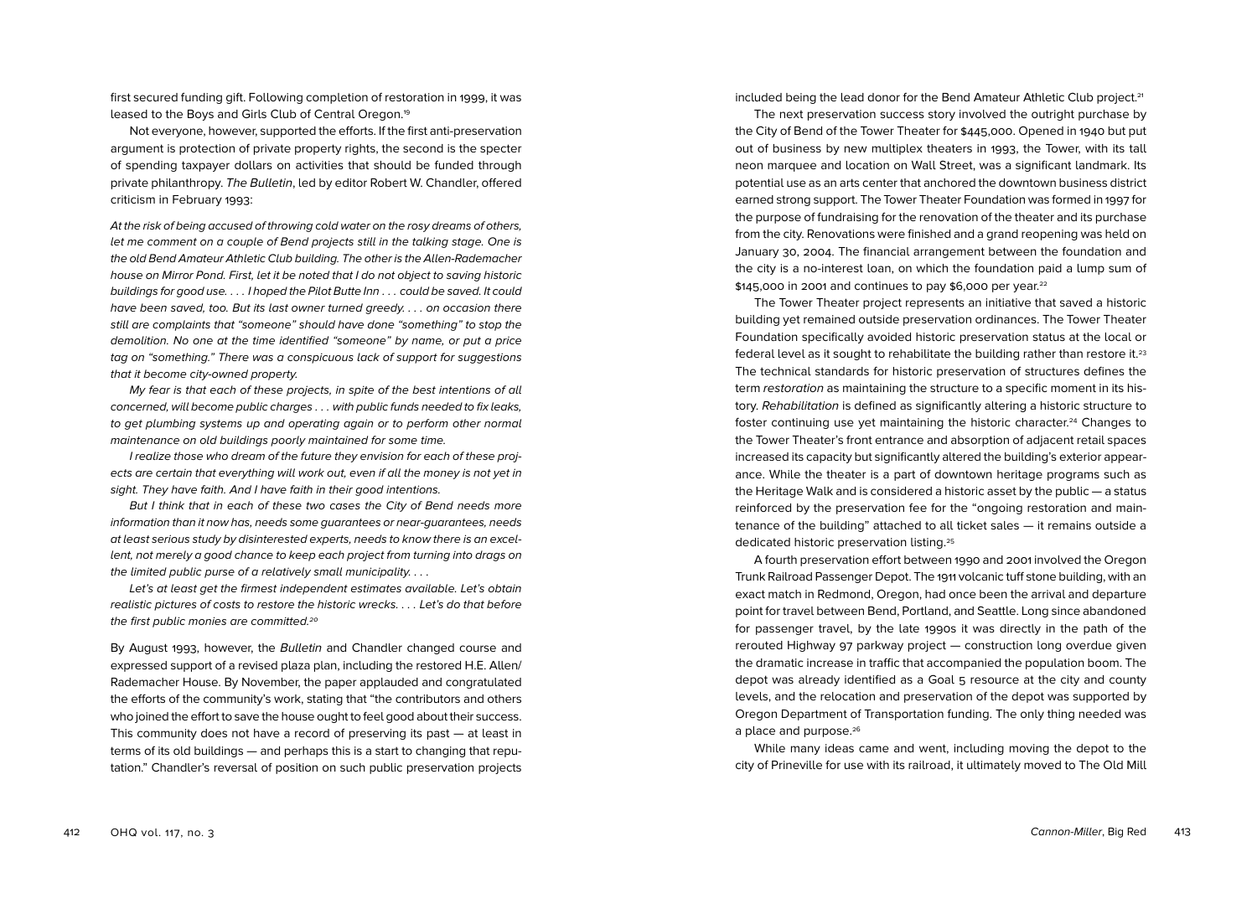first secured funding gift. Following completion of restoration in 1999, it was leased to the Boys and Girls Club of Central Oregon.19

Not everyone, however, supported the efforts. If the first anti-preservation argument is protection of private property rights, the second is the specter of spending taxpayer dollars on activities that should be funded through private philanthropy. The Bulletin, led by editor Robert W. Chandler, offered criticism in February 1993:

At the risk of being accused of throwing cold water on the rosy dreams of others, let me comment on a couple of Bend projects still in the talking stage. One is the old Bend Amateur Athletic Club building. The other is the Allen-Rademacher house on Mirror Pond. First, let it be noted that I do not object to saving historic buildings for good use. . . . I hoped the Pilot Butte Inn . . . could be saved. It could have been saved, too. But its last owner turned greedy. . . . on occasion there still are complaints that "someone" should have done "something" to stop the demolition. No one at the time identified "someone" by name, or put a price tag on "something." There was a conspicuous lack of support for suggestions that it become city-owned property.

My fear is that each of these projects, in spite of the best intentions of all concerned, will become public charges . . . with public funds needed to fix leaks, to get plumbing systems up and operating again or to perform other normal maintenance on old buildings poorly maintained for some time.

I realize those who dream of the future they envision for each of these projects are certain that everything will work out, even if all the money is not yet in sight. They have faith. And I have faith in their good intentions.

But I think that in each of these two cases the City of Bend needs more information than it now has, needs some guarantees or near-guarantees, needs at least serious study by disinterested experts, needs to know there is an excellent, not merely a good chance to keep each project from turning into drags on the limited public purse of a relatively small municipality. . . .

Let's at least get the firmest independent estimates available. Let's obtain realistic pictures of costs to restore the historic wrecks. . . . Let's do that before the first public monies are committed.<sup>20</sup>

By August 1993, however, the Bulletin and Chandler changed course and expressed support of a revised plaza plan, including the restored H.E. Allen/ Rademacher House. By November, the paper applauded and congratulated the efforts of the community's work, stating that "the contributors and others who joined the effort to save the house ought to feel good about their success. This community does not have a record of preserving its past — at least in terms of its old buildings — and perhaps this is a start to changing that reputation." Chandler's reversal of position on such public preservation projects

included being the lead donor for the Bend Amateur Athletic Club project.<sup>21</sup>

The next preservation success story involved the outright purchase by the City of Bend of the Tower Theater for \$445,000. Opened in 1940 but put out of business by new multiplex theaters in 1993, the Tower, with its tall neon marquee and location on Wall Street, was a significant landmark. Its potential use as an arts center that anchored the downtown business district earned strong support. The Tower Theater Foundation was formed in 1997 for the purpose of fundraising for the renovation of the theater and its purchase from the city. Renovations were finished and a grand reopening was held on January 30, 2004. The financial arrangement between the foundation and the city is a no-interest loan, on which the foundation paid a lump sum of \$145,000 in 2001 and continues to pay \$6,000 per year.<sup>22</sup>

The Tower Theater project represents an initiative that saved a historic building yet remained outside preservation ordinances. The Tower Theater Foundation specifically avoided historic preservation status at the local or federal level as it sought to rehabilitate the building rather than restore it.23 The technical standards for historic preservation of structures defines the term restoration as maintaining the structure to a specific moment in its history. Rehabilitation is defined as significantly altering a historic structure to foster continuing use yet maintaining the historic character.24 Changes to the Tower Theater's front entrance and absorption of adjacent retail spaces increased its capacity but significantly altered the building's exterior appearance. While the theater is a part of downtown heritage programs such as the Heritage Walk and is considered a historic asset by the public — a status reinforced by the preservation fee for the "ongoing restoration and maintenance of the building" attached to all ticket sales — it remains outside a dedicated historic preservation listing.25

A fourth preservation effort between 1990 and 2001 involved the Oregon Trunk Railroad Passenger Depot. The 1911 volcanic tuff stone building, with an exact match in Redmond, Oregon, had once been the arrival and departure point for travel between Bend, Portland, and Seattle. Long since abandoned for passenger travel, by the late 1990s it was directly in the path of the rerouted Highway 97 parkway project — construction long overdue given the dramatic increase in traffic that accompanied the population boom. The depot was already identified as a Goal 5 resource at the city and county levels, and the relocation and preservation of the depot was supported by Oregon Department of Transportation funding. The only thing needed was a place and purpose.<sup>26</sup>

While many ideas came and went, including moving the depot to the city of Prineville for use with its railroad, it ultimately moved to The Old Mill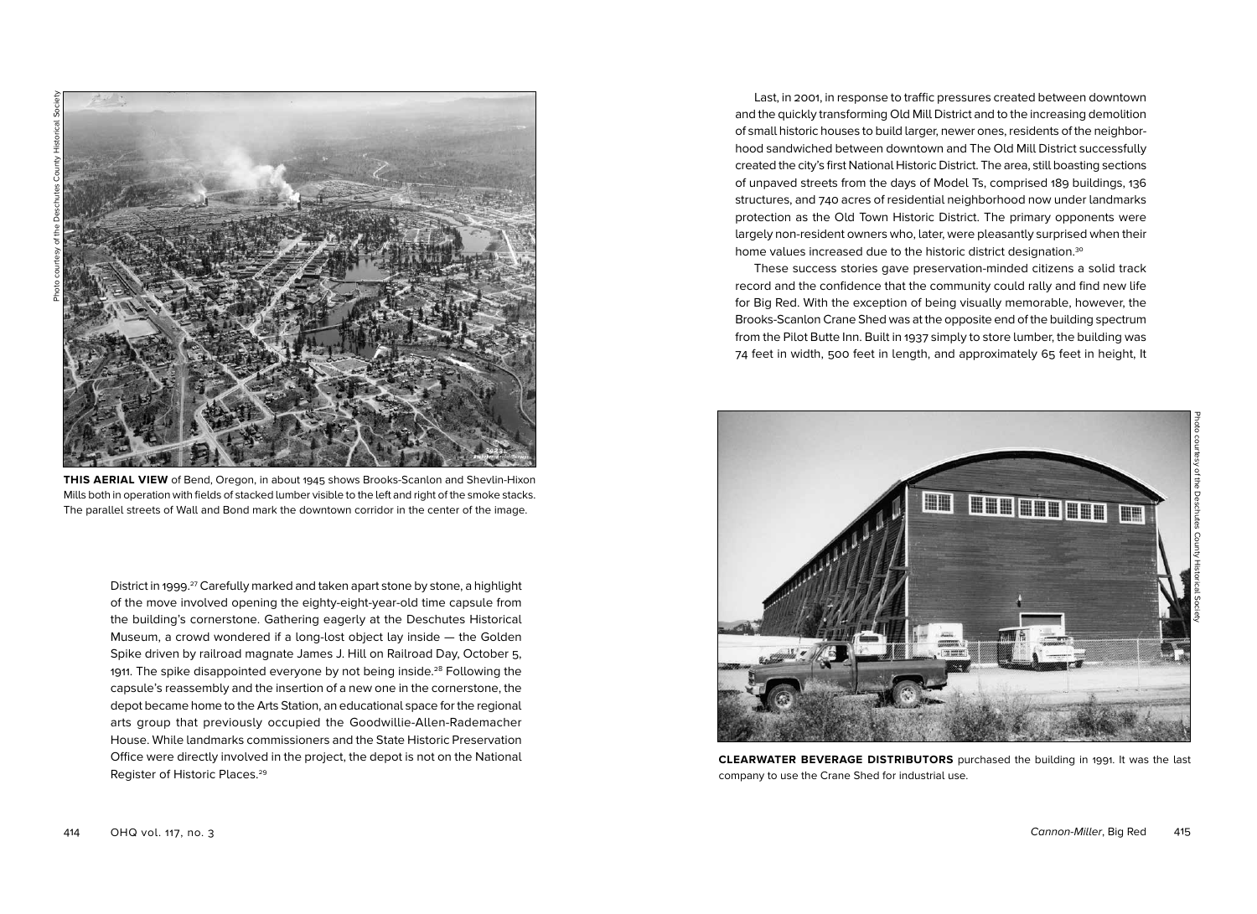

**THIS AERIAL VIEW** of Bend, Oregon, in about 1945 shows Brooks-Scanlon and Shevlin-Hixon Mills both in operation with fields of stacked lumber visible to the left and right of the smoke stacks. The parallel streets of Wall and Bond mark the downtown corridor in the center of the image.

District in 1999. 27 Carefully marked and taken apart stone by stone, a highlight of the move involved opening the eighty-eight-year-old time capsule from the building's cornerstone. Gathering eagerly at the Deschutes Historical Museum, a crowd wondered if a long-lost object lay inside — the Golden Spike driven by railroad magnate James J. Hill on Railroad Day, October 5, 1911. The spike disappointed everyone by not being inside.<sup>28</sup> Following the capsule's reassembly and the insertion of a new one in the cornerstone, the depot became home to the Arts Station, an educational space for the regional arts group that previously occupied the Goodwillie-Allen-Rademacher House. While landmarks commissioners and the State Historic Preservation Office were directly involved in the project, the depot is not on the National Register of Historic Places.29

Last, in 2001, in response to traffic pressures created between downtown and the quickly transforming Old Mill District and to the increasing demolition of small historic houses to build larger, newer ones, residents of the neighborhood sandwiched between downtown and The Old Mill District successfully created the city's first National Historic District. The area, still boasting sections of unpaved streets from the days of Model Ts, comprised 189 buildings, 136 structures, and 740 acres of residential neighborhood now under landmarks protection as the Old Town Historic District. The primary opponents were largely non-resident owners who, later, were pleasantly surprised when their home values increased due to the historic district designation.30

These success stories gave preservation-minded citizens a solid track record and the confidence that the community could rally and find new life for Big Red. With the exception of being visually memorable, however, the Brooks-Scanlon Crane Shed was at the opposite end of the building spectrum from the Pilot Butte Inn. Built in 1937 simply to store lumber, the building was 74 feet in width, 500 feet in length, and approximately 65 feet in height, It



**CLEARWATER BEVERAGE DISTRIBUTORS** purchased the building in 1991. It was the last company to use the Crane Shed for industrial use.

Photo courtesy of the Deschutes County Historical Society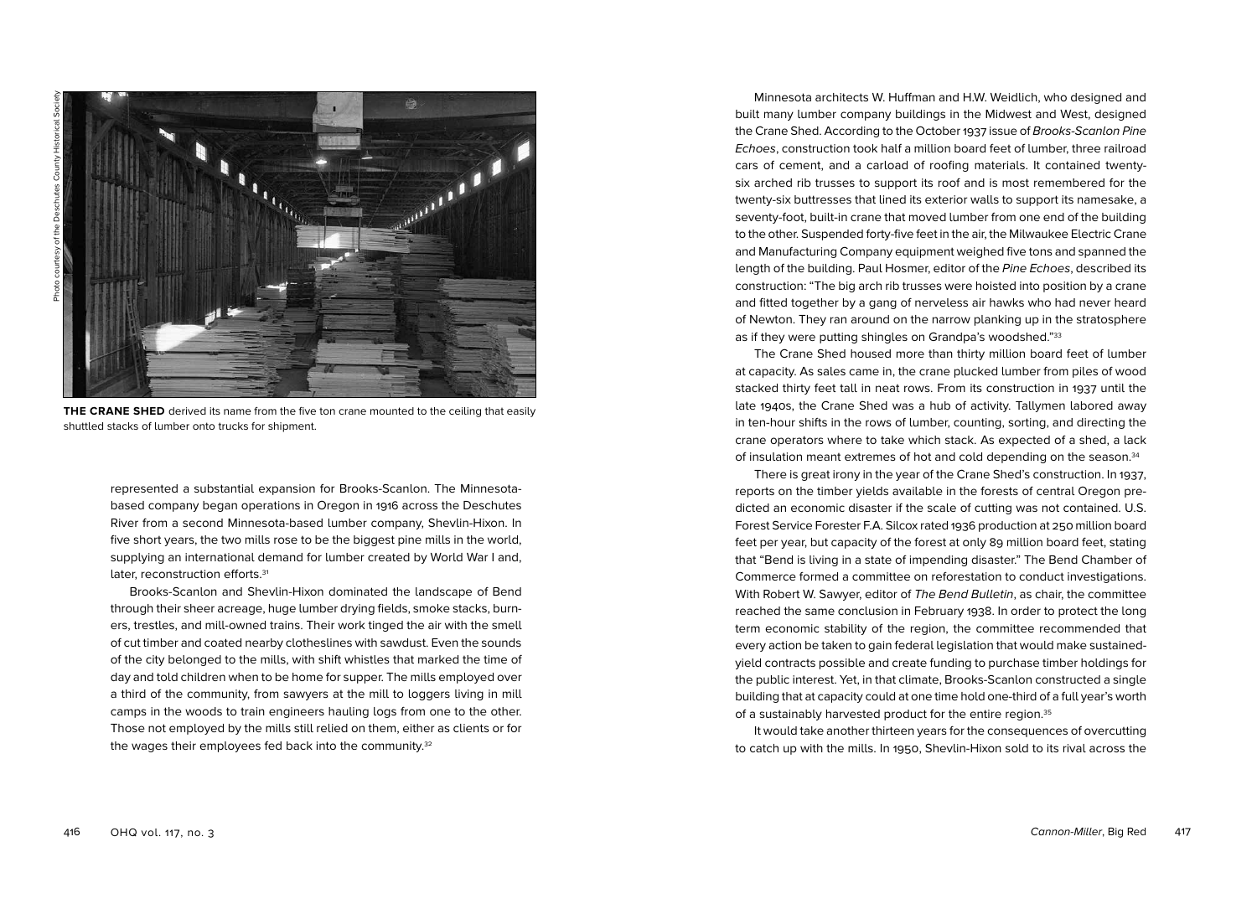**THE CRANE SHED** derived its name from the five ton crane mounted to the ceiling that easily shuttled stacks of lumber onto trucks for shipment.

represented a substantial expansion for Brooks-Scanlon. The Minnesotabased company began operations in Oregon in 1916 across the Deschutes River from a second Minnesota-based lumber company, Shevlin-Hixon. In five short years, the two mills rose to be the biggest pine mills in the world, supplying an international demand for lumber created by World War I and, later, reconstruction efforts.<sup>31</sup>

Brooks-Scanlon and Shevlin-Hixon dominated the landscape of Bend through their sheer acreage, huge lumber drying fields, smoke stacks, burners, trestles, and mill-owned trains. Their work tinged the air with the smell of cut timber and coated nearby clotheslines with sawdust. Even the sounds of the city belonged to the mills, with shift whistles that marked the time of day and told children when to be home for supper. The mills employed over a third of the community, from sawyers at the mill to loggers living in mill camps in the woods to train engineers hauling logs from one to the other. Those not employed by the mills still relied on them, either as clients or for the wages their employees fed back into the community.32

Minnesota architects W. Huffman and H.W. Weidlich, who designed and built many lumber company buildings in the Midwest and West, designed the Crane Shed. According to the October 1937 issue of Brooks-Scanlon Pine Echoes, construction took half a million board feet of lumber, three railroad cars of cement, and a carload of roofing materials. It contained twentysix arched rib trusses to support its roof and is most remembered for the twenty-six buttresses that lined its exterior walls to support its namesake, a seventy-foot, built-in crane that moved lumber from one end of the building to the other. Suspended forty-five feet in the air, the Milwaukee Electric Crane and Manufacturing Company equipment weighed five tons and spanned the length of the building. Paul Hosmer, editor of the Pine Echoes, described its construction: "The big arch rib trusses were hoisted into position by a crane and fitted together by a gang of nerveless air hawks who had never heard of Newton. They ran around on the narrow planking up in the stratosphere as if they were putting shingles on Grandpa's woodshed."33

The Crane Shed housed more than thirty million board feet of lumber at capacity. As sales came in, the crane plucked lumber from piles of wood stacked thirty feet tall in neat rows. From its construction in 1937 until the late 1940s, the Crane Shed was a hub of activity. Tallymen labored away in ten-hour shifts in the rows of lumber, counting, sorting, and directing the crane operators where to take which stack. As expected of a shed, a lack of insulation meant extremes of hot and cold depending on the season.34

There is great irony in the year of the Crane Shed's construction. In 1937, reports on the timber yields available in the forests of central Oregon predicted an economic disaster if the scale of cutting was not contained. U.S. Forest Service Forester F.A. Silcox rated 1936 production at 250 million board feet per year, but capacity of the forest at only 89 million board feet, stating that "Bend is living in a state of impending disaster." The Bend Chamber of Commerce formed a committee on reforestation to conduct investigations. With Robert W. Sawyer, editor of The Bend Bulletin, as chair, the committee reached the same conclusion in February 1938. In order to protect the long term economic stability of the region, the committee recommended that every action be taken to gain federal legislation that would make sustainedyield contracts possible and create funding to purchase timber holdings for the public interest. Yet, in that climate, Brooks-Scanlon constructed a single building that at capacity could at one time hold one-third of a full year's worth of a sustainably harvested product for the entire region.35

It would take another thirteen years for the consequences of overcutting to catch up with the mills. In 1950, Shevlin-Hixon sold to its rival across the

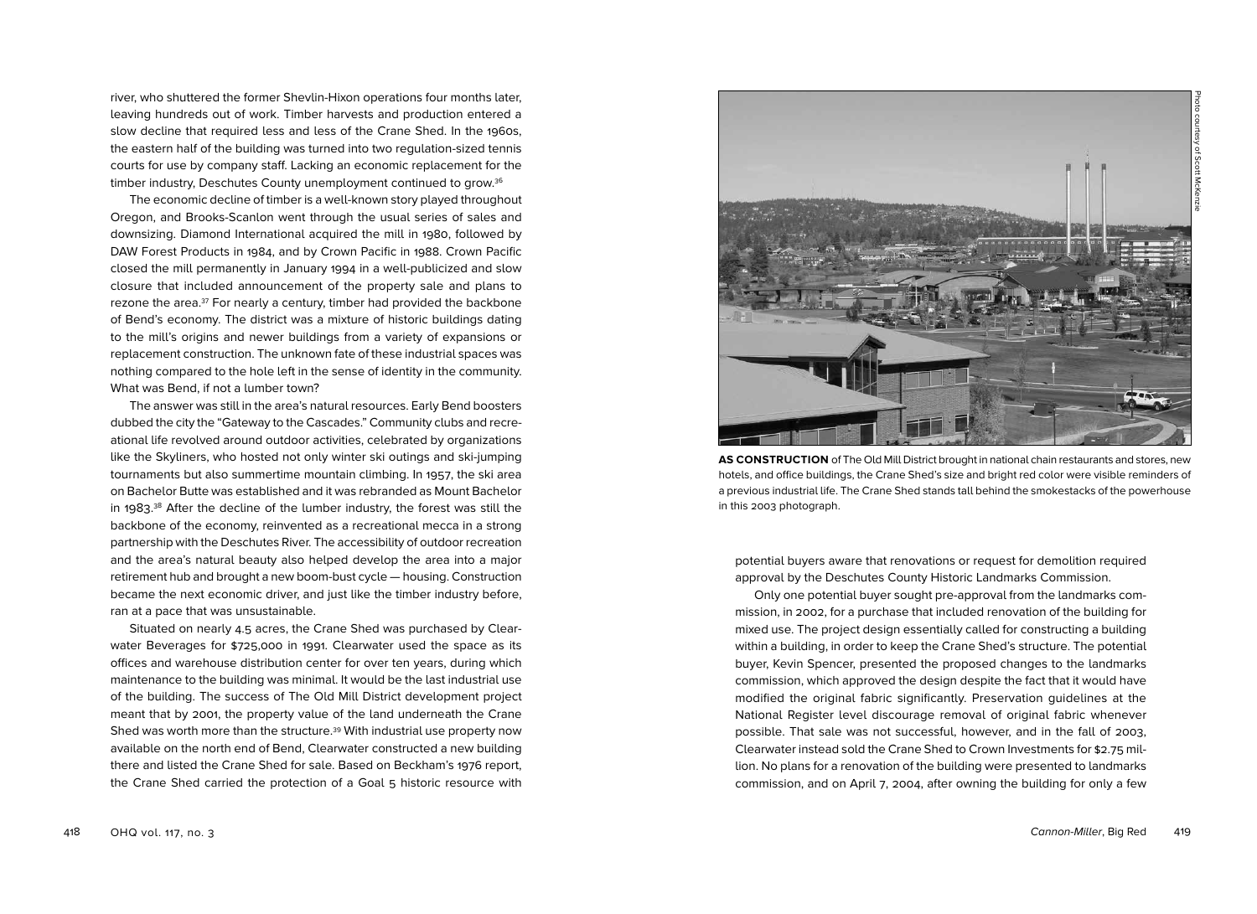river, who shuttered the former Shevlin-Hixon operations four months later, leaving hundreds out of work. Timber harvests and production entered a slow decline that required less and less of the Crane Shed. In the 1960s, the eastern half of the building was turned into two regulation-sized tennis courts for use by company staff. Lacking an economic replacement for the timber industry, Deschutes County unemployment continued to grow.36

The economic decline of timber is a well-known story played throughout Oregon, and Brooks-Scanlon went through the usual series of sales and downsizing. Diamond International acquired the mill in 1980, followed by DAW Forest Products in 1984, and by Crown Pacific in 1988. Crown Pacific closed the mill permanently in January 1994 in a well-publicized and slow closure that included announcement of the property sale and plans to rezone the area.37 For nearly a century, timber had provided the backbone of Bend's economy. The district was a mixture of historic buildings dating to the mill's origins and newer buildings from a variety of expansions or replacement construction. The unknown fate of these industrial spaces was nothing compared to the hole left in the sense of identity in the community. What was Bend, if not a lumber town?

The answer was still in the area's natural resources. Early Bend boosters dubbed the city the "Gateway to the Cascades." Community clubs and recreational life revolved around outdoor activities, celebrated by organizations like the Skyliners, who hosted not only winter ski outings and ski-jumping tournaments but also summertime mountain climbing. In 1957, the ski area on Bachelor Butte was established and it was rebranded as Mount Bachelor in 1983.<sup>38</sup> After the decline of the lumber industry, the forest was still the backbone of the economy, reinvented as a recreational mecca in a strong partnership with the Deschutes River. The accessibility of outdoor recreation and the area's natural beauty also helped develop the area into a major retirement hub and brought a new boom-bust cycle — housing. Construction became the next economic driver, and just like the timber industry before, ran at a pace that was unsustainable.

Situated on nearly 4.5 acres, the Crane Shed was purchased by Clearwater Beverages for \$725,000 in 1991. Clearwater used the space as its offices and warehouse distribution center for over ten years, during which maintenance to the building was minimal. It would be the last industrial use of the building. The success of The Old Mill District development project meant that by 2001, the property value of the land underneath the Crane Shed was worth more than the structure.39 With industrial use property now available on the north end of Bend, Clearwater constructed a new building there and listed the Crane Shed for sale. Based on Beckham's 1976 report, the Crane Shed carried the protection of a Goal 5 historic resource with



**AS CONSTRUCTION** of The Old Mill District brought in national chain restaurants and stores, new hotels, and office buildings, the Crane Shed's size and bright red color were visible reminders of a previous industrial life. The Crane Shed stands tall behind the smokestacks of the powerhouse in this 2003 photograph.

potential buyers aware that renovations or request for demolition required approval by the Deschutes County Historic Landmarks Commission.

Only one potential buyer sought pre-approval from the landmarks commission, in 2002, for a purchase that included renovation of the building for mixed use. The project design essentially called for constructing a building within a building, in order to keep the Crane Shed's structure. The potential buyer, Kevin Spencer, presented the proposed changes to the landmarks commission, which approved the design despite the fact that it would have modified the original fabric significantly. Preservation guidelines at the National Register level discourage removal of original fabric whenever possible. That sale was not successful, however, and in the fall of 2003, Clearwater instead sold the Crane Shed to Crown Investments for \$2.75 million. No plans for a renovation of the building were presented to landmarks commission, and on April 7, 2004, after owning the building for only a few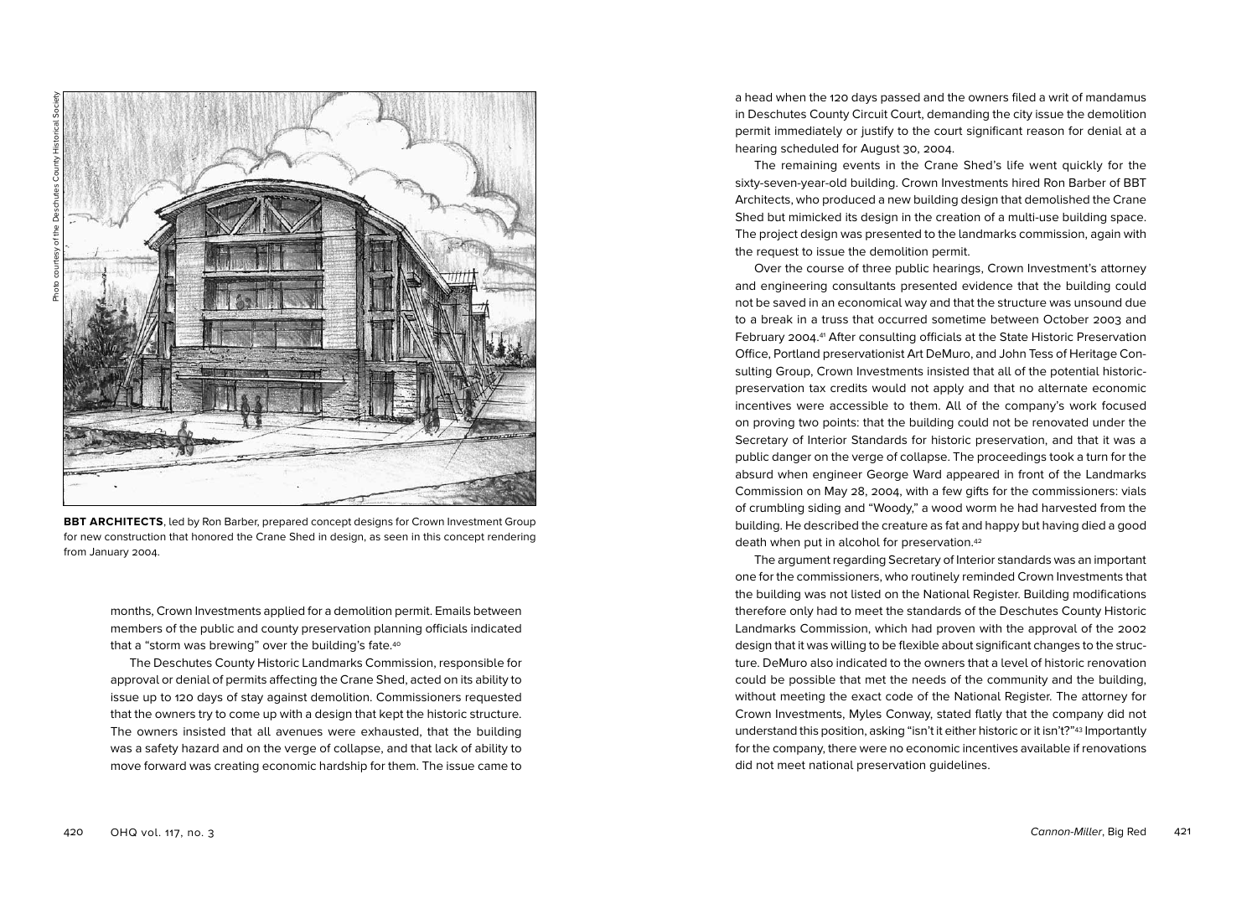

**BBT ARCHITECTS**, led by Ron Barber, prepared concept designs for Crown Investment Group for new construction that honored the Crane Shed in design, as seen in this concept rendering from January 2004.

months, Crown Investments applied for a demolition permit. Emails between members of the public and county preservation planning officials indicated that a "storm was brewing" over the building's fate.<sup>40</sup>

The Deschutes County Historic Landmarks Commission, responsible for approval or denial of permits affecting the Crane Shed, acted on its ability to issue up to 120 days of stay against demolition. Commissioners requested that the owners try to come up with a design that kept the historic structure. The owners insisted that all avenues were exhausted, that the building was a safety hazard and on the verge of collapse, and that lack of ability to move forward was creating economic hardship for them. The issue came to Over the course of three public hearings, Crown Investment's attorney

and engineering consultants presented evidence that the building could not be saved in an economical way and that the structure was unsound due to a break in a truss that occurred sometime between October 2003 and February 2004. 41 After consulting officials at the State Historic Preservation Office, Portland preservationist Art DeMuro, and John Tess of Heritage Consulting Group, Crown Investments insisted that all of the potential historicpreservation tax credits would not apply and that no alternate economic incentives were accessible to them. All of the company's work focused on proving two points: that the building could not be renovated under the Secretary of Interior Standards for historic preservation, and that it was a public danger on the verge of collapse. The proceedings took a turn for the absurd when engineer George Ward appeared in front of the Landmarks Commission on May 28, 2004, with a few gifts for the commissioners: vials of crumbling siding and "Woody," a wood worm he had harvested from the building. He described the creature as fat and happy but having died a good death when put in alcohol for preservation.42

a head when the 120 days passed and the owners filed a writ of mandamus in Deschutes County Circuit Court, demanding the city issue the demolition permit immediately or justify to the court significant reason for denial at a

The remaining events in the Crane Shed's life went quickly for the sixty-seven-year-old building. Crown Investments hired Ron Barber of BBT Architects, who produced a new building design that demolished the Crane Shed but mimicked its design in the creation of a multi-use building space. The project design was presented to the landmarks commission, again with

hearing scheduled for August 30, 2004.

the request to issue the demolition permit.

The argument regarding Secretary of Interior standards was an important one for the commissioners, who routinely reminded Crown Investments that the building was not listed on the National Register. Building modifications therefore only had to meet the standards of the Deschutes County Historic Landmarks Commission, which had proven with the approval of the 2002 design that it was willing to be flexible about significant changes to the structure. DeMuro also indicated to the owners that a level of historic renovation could be possible that met the needs of the community and the building, without meeting the exact code of the National Register. The attorney for Crown Investments, Myles Conway, stated flatly that the company did not understand this position, asking "isn't it either historic or it isn't?"43 Importantly for the company, there were no economic incentives available if renovations did not meet national preservation guidelines.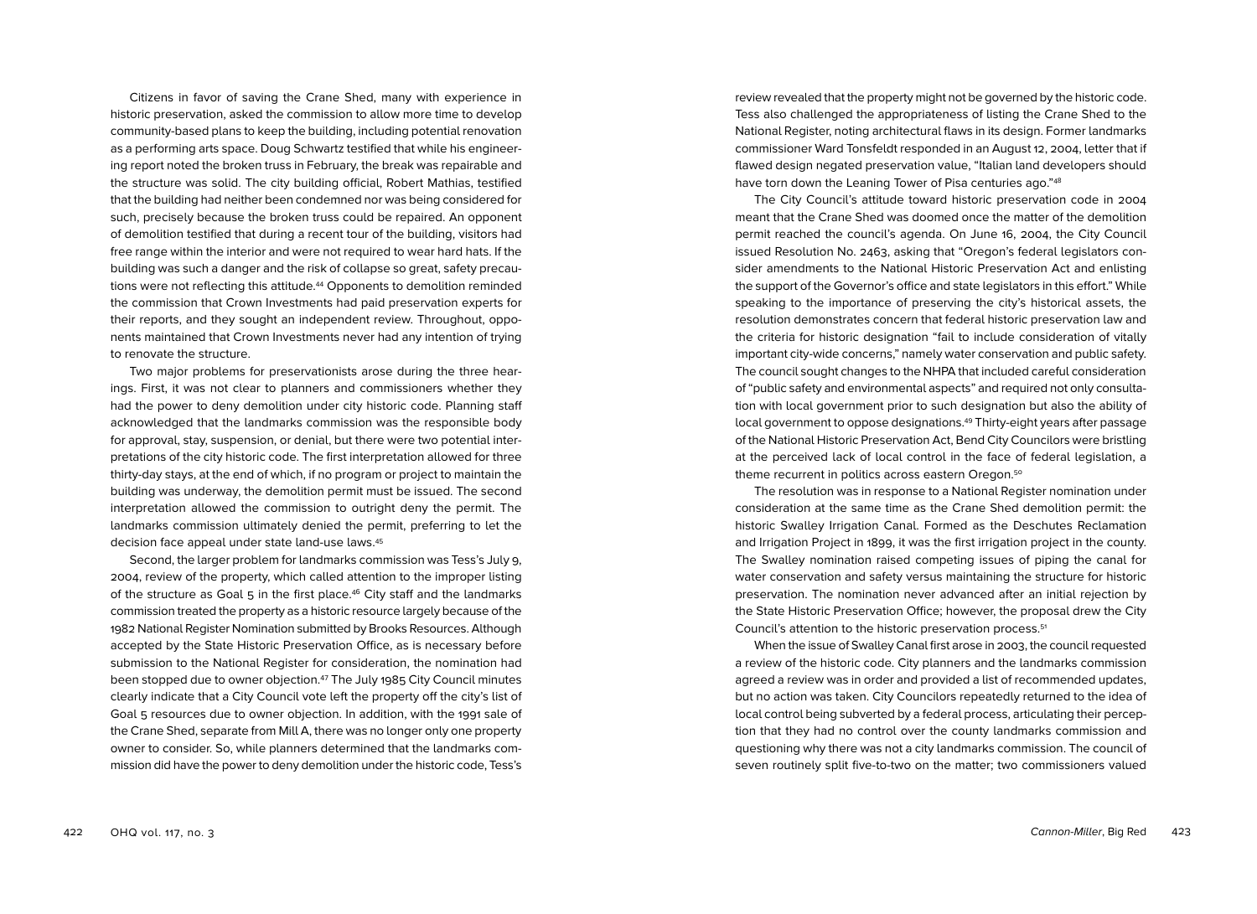Citizens in favor of saving the Crane Shed, many with experience in historic preservation, asked the commission to allow more time to develop community-based plans to keep the building, including potential renovation as a performing arts space. Doug Schwartz testified that while his engineering report noted the broken truss in February, the break was repairable and the structure was solid. The city building official, Robert Mathias, testified that the building had neither been condemned nor was being considered for such, precisely because the broken truss could be repaired. An opponent of demolition testified that during a recent tour of the building, visitors had free range within the interior and were not required to wear hard hats. If the building was such a danger and the risk of collapse so great, safety precautions were not reflecting this attitude.44 Opponents to demolition reminded the commission that Crown Investments had paid preservation experts for their reports, and they sought an independent review. Throughout, opponents maintained that Crown Investments never had any intention of trying to renovate the structure.

Two major problems for preservationists arose during the three hearings. First, it was not clear to planners and commissioners whether they had the power to deny demolition under city historic code. Planning staff acknowledged that the landmarks commission was the responsible body for approval, stay, suspension, or denial, but there were two potential interpretations of the city historic code. The first interpretation allowed for three thirty-day stays, at the end of which, if no program or project to maintain the building was underway, the demolition permit must be issued. The second interpretation allowed the commission to outright deny the permit. The landmarks commission ultimately denied the permit, preferring to let the decision face appeal under state land-use laws.45

Second, the larger problem for landmarks commission was Tess's July 9, 2004, review of the property, which called attention to the improper listing of the structure as Goal  $5$  in the first place.<sup>46</sup> City staff and the landmarks commission treated the property as a historic resource largely because of the 1982 National Register Nomination submitted by Brooks Resources. Although accepted by the State Historic Preservation Office, as is necessary before submission to the National Register for consideration, the nomination had been stopped due to owner objection.47 The July 1985 City Council minutes clearly indicate that a City Council vote left the property off the city's list of Goal 5 resources due to owner objection. In addition, with the 1991 sale of the Crane Shed, separate from Mill A, there was no longer only one property owner to consider. So, while planners determined that the landmarks commission did have the power to deny demolition under the historic code, Tess's review revealed that the property might not be governed by the historic code. Tess also challenged the appropriateness of listing the Crane Shed to the National Register, noting architectural flaws in its design. Former landmarks commissioner Ward Tonsfeldt responded in an August 12, 2004, letter that if flawed design negated preservation value, "Italian land developers should have torn down the Leaning Tower of Pisa centuries ago."48

The City Council's attitude toward historic preservation code in 2004 meant that the Crane Shed was doomed once the matter of the demolition permit reached the council's agenda. On June 16, 2004, the City Council issued Resolution No. 2463, asking that "Oregon's federal legislators consider amendments to the National Historic Preservation Act and enlisting the support of the Governor's office and state legislators in this effort." While speaking to the importance of preserving the city's historical assets, the resolution demonstrates concern that federal historic preservation law and the criteria for historic designation "fail to include consideration of vitally important city-wide concerns," namely water conservation and public safety. The council sought changes to the NHPA that included careful consideration of "public safety and environmental aspects" and required not only consultation with local government prior to such designation but also the ability of local government to oppose designations.49 Thirty-eight years after passage of the National Historic Preservation Act, Bend City Councilors were bristling at the perceived lack of local control in the face of federal legislation, a theme recurrent in politics across eastern Oregon.50

The resolution was in response to a National Register nomination under consideration at the same time as the Crane Shed demolition permit: the historic Swalley Irrigation Canal. Formed as the Deschutes Reclamation and Irrigation Project in 1899, it was the first irrigation project in the county. The Swalley nomination raised competing issues of piping the canal for water conservation and safety versus maintaining the structure for historic preservation. The nomination never advanced after an initial rejection by the State Historic Preservation Office; however, the proposal drew the City Council's attention to the historic preservation process.51

When the issue of Swalley Canal first arose in 2003, the council requested a review of the historic code. City planners and the landmarks commission agreed a review was in order and provided a list of recommended updates, but no action was taken. City Councilors repeatedly returned to the idea of local control being subverted by a federal process, articulating their perception that they had no control over the county landmarks commission and questioning why there was not a city landmarks commission. The council of seven routinely split five-to-two on the matter; two commissioners valued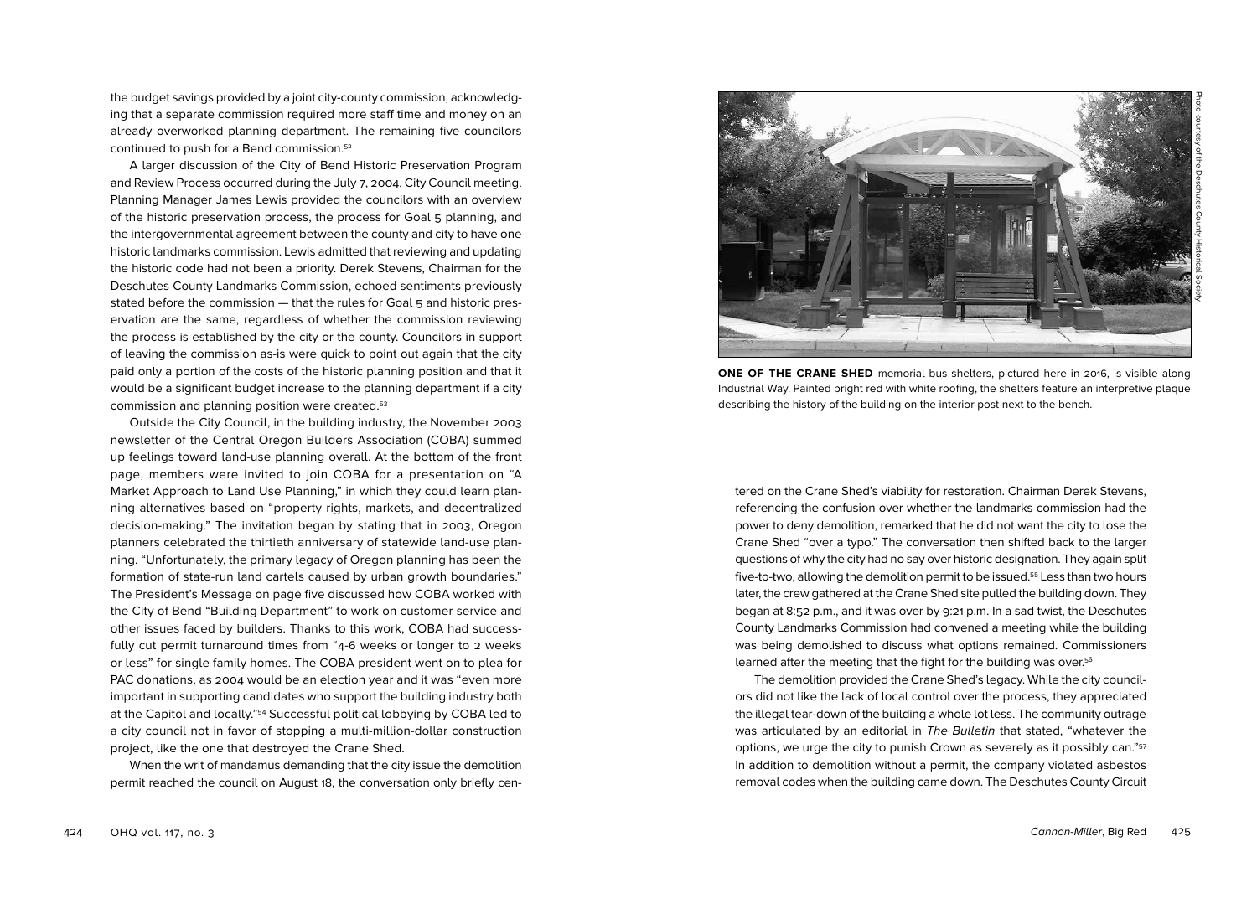the budget savings provided by a joint city-county commission, acknowledging that a separate commission required more staff time and money on an already overworked planning department. The remaining five councilors continued to push for a Bend commission.52

A larger discussion of the City of Bend Historic Preservation Program and Review Process occurred during the July 7, 2004, City Council meeting. Planning Manager James Lewis provided the councilors with an overview of the historic preservation process, the process for Goal 5 planning, and the intergovernmental agreement between the county and city to have one historic landmarks commission. Lewis admitted that reviewing and updating the historic code had not been a priority. Derek Stevens, Chairman for the Deschutes County Landmarks Commission, echoed sentiments previously stated before the commission — that the rules for Goal 5 and historic preservation are the same, regardless of whether the commission reviewing the process is established by the city or the county. Councilors in support of leaving the commission as-is were quick to point out again that the city paid only a portion of the costs of the historic planning position and that it would be a significant budget increase to the planning department if a city commission and planning position were created.53

Outside the City Council, in the building industry, the November 2003 newsletter of the Central Oregon Builders Association (COBA) summed up feelings toward land-use planning overall. At the bottom of the front page, members were invited to join COBA for a presentation on "A Market Approach to Land Use Planning," in which they could learn planning alternatives based on "property rights, markets, and decentralized decision-making." The invitation began by stating that in 2003, Oregon planners celebrated the thirtieth anniversary of statewide land-use planning. "Unfortunately, the primary legacy of Oregon planning has been the formation of state-run land cartels caused by urban growth boundaries." The President's Message on page five discussed how COBA worked with the City of Bend "Building Department" to work on customer service and other issues faced by builders. Thanks to this work, COBA had successfully cut permit turnaround times from "4-6 weeks or longer to 2 weeks or less" for single family homes. The COBA president went on to plea for PAC donations, as 2004 would be an election year and it was "even more important in supporting candidates who support the building industry both at the Capitol and locally."54 Successful political lobbying by COBA led to a city council not in favor of stopping a multi-million-dollar construction project, like the one that destroyed the Crane Shed.

When the writ of mandamus demanding that the city issue the demolition permit reached the council on August 18, the conversation only briefly cen-





**ONE OF THE CRANE SHED** memorial bus shelters, pictured here in 2016, is visible along Industrial Way. Painted bright red with white roofing, the shelters feature an interpretive plaque describing the history of the building on the interior post next to the bench.

tered on the Crane Shed's viability for restoration. Chairman Derek Stevens, referencing the confusion over whether the landmarks commission had the power to deny demolition, remarked that he did not want the city to lose the Crane Shed "over a typo." The conversation then shifted back to the larger questions of why the city had no say over historic designation. They again split five-to-two, allowing the demolition permit to be issued.55 Less than two hours later, the crew gathered at the Crane Shed site pulled the building down. They began at 8:52 p.m., and it was over by 9:21 p.m. In a sad twist, the Deschutes County Landmarks Commission had convened a meeting while the building was being demolished to discuss what options remained. Commissioners learned after the meeting that the fight for the building was over.56

The demolition provided the Crane Shed's legacy. While the city councilors did not like the lack of local control over the process, they appreciated the illegal tear-down of the building a whole lot less. The community outrage was articulated by an editorial in The Bulletin that stated, "whatever the options, we urge the city to punish Crown as severely as it possibly can."57 In addition to demolition without a permit, the company violated asbestos removal codes when the building came down. The Deschutes County Circuit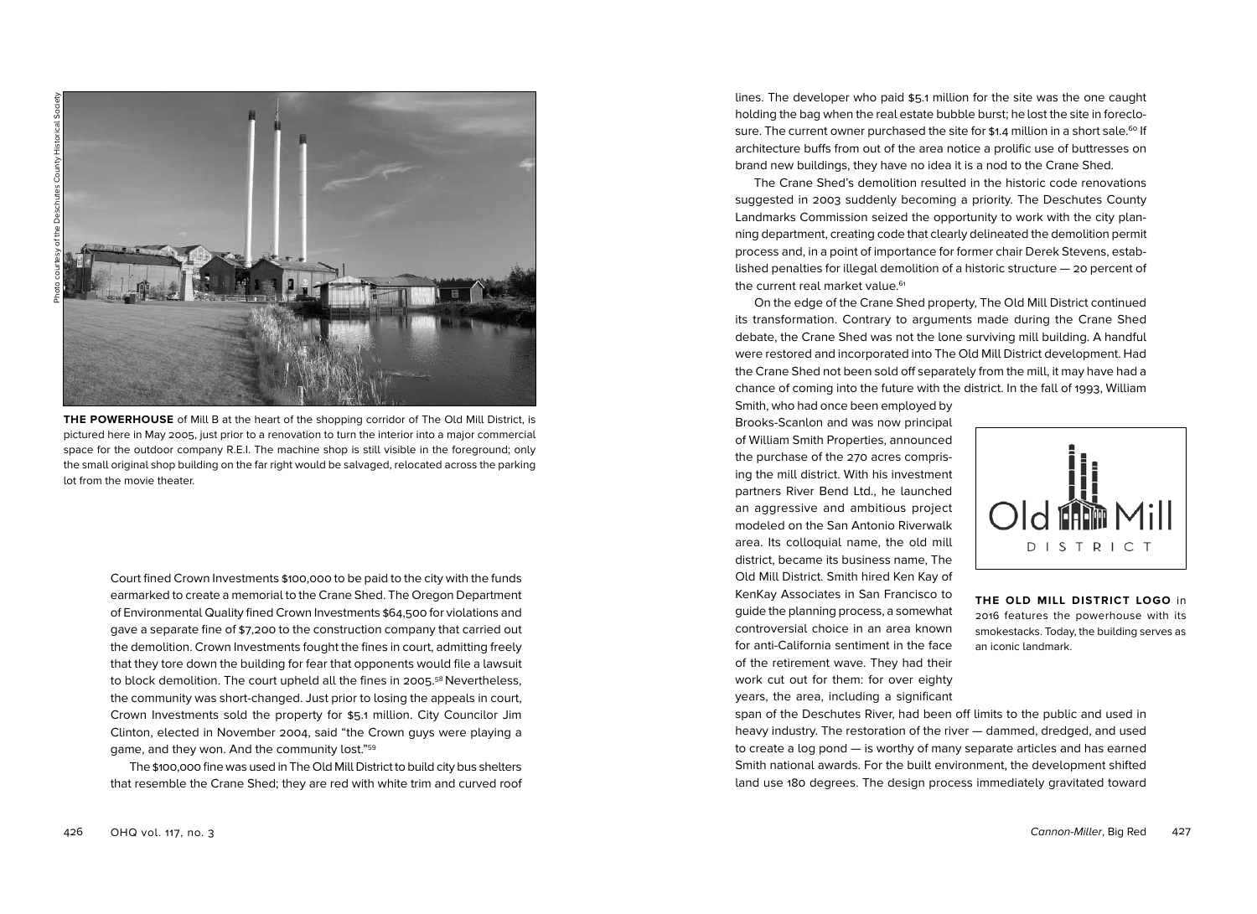

**THE POWERHOUSE** of Mill B at the heart of the shopping corridor of The Old Mill District, is pictured here in May 2005, just prior to a renovation to turn the interior into a major commercial space for the outdoor company R.E.I. The machine shop is still visible in the foreground; only the small original shop building on the far right would be salvaged, relocated across the parking lot from the movie theater.

Court fined Crown Investments \$100,000 to be paid to the city with the funds earmarked to create a memorial to the Crane Shed. The Oregon Department of Environmental Quality fined Crown Investments \$64,500 for violations and gave a separate fine of \$7,200 to the construction company that carried out the demolition. Crown Investments fought the fines in court, admitting freely that they tore down the building for fear that opponents would file a lawsuit to block demolition. The court upheld all the fines in 2005. <sup>58</sup> Nevertheless, the community was short-changed. Just prior to losing the appeals in court, Crown Investments sold the property for \$5.1 million. City Councilor Jim Clinton, elected in November 2004, said "the Crown guys were playing a game, and they won. And the community lost."59

The \$100,000 fine was used in The Old Mill District to build city bus shelters that resemble the Crane Shed; they are red with white trim and curved roof lines. The developer who paid \$5.1 million for the site was the one caught holding the bag when the real estate bubble burst; he lost the site in foreclosure. The current owner purchased the site for \$1.4 million in a short sale.<sup>60</sup> If architecture buffs from out of the area notice a prolific use of buttresses on brand new buildings, they have no idea it is a nod to the Crane Shed.

The Crane Shed's demolition resulted in the historic code renovations suggested in 2003 suddenly becoming a priority. The Deschutes County Landmarks Commission seized the opportunity to work with the city planning department, creating code that clearly delineated the demolition permit process and, in a point of importance for former chair Derek Stevens, established penalties for illegal demolition of a historic structure — 20 percent of the current real market value.<sup>61</sup>

On the edge of the Crane Shed property, The Old Mill District continued its transformation. Contrary to arguments made during the Crane Shed debate, the Crane Shed was not the lone surviving mill building. A handful were restored and incorporated into The Old Mill District development. Had the Crane Shed not been sold off separately from the mill, it may have had a chance of coming into the future with the district. In the fall of 1993, William Smith, who had once been employed by

Brooks-Scanlon and was now principal of William Smith Properties, announced the purchase of the 270 acres comprising the mill district. With his investment partners River Bend Ltd., he launched an aggressive and ambitious project modeled on the San Antonio Riverwalk area. Its colloquial name, the old mill district, became its business name, The Old Mill District. Smith hired Ken Kay of KenKay Associates in San Francisco to guide the planning process, a somewhat controversial choice in an area known for anti-California sentiment in the face of the retirement wave. They had their work cut out for them: for over eighty years, the area, including a significant



**THE OLD MILL DISTRICT LOGO** in 2016 features the powerhouse with its smokestacks. Today, the building serves as an iconic landmark.

span of the Deschutes River, had been off limits to the public and used in heavy industry. The restoration of the river — dammed, dredged, and used to create a log pond — is worthy of many separate articles and has earned Smith national awards. For the built environment, the development shifted land use 180 degrees. The design process immediately gravitated toward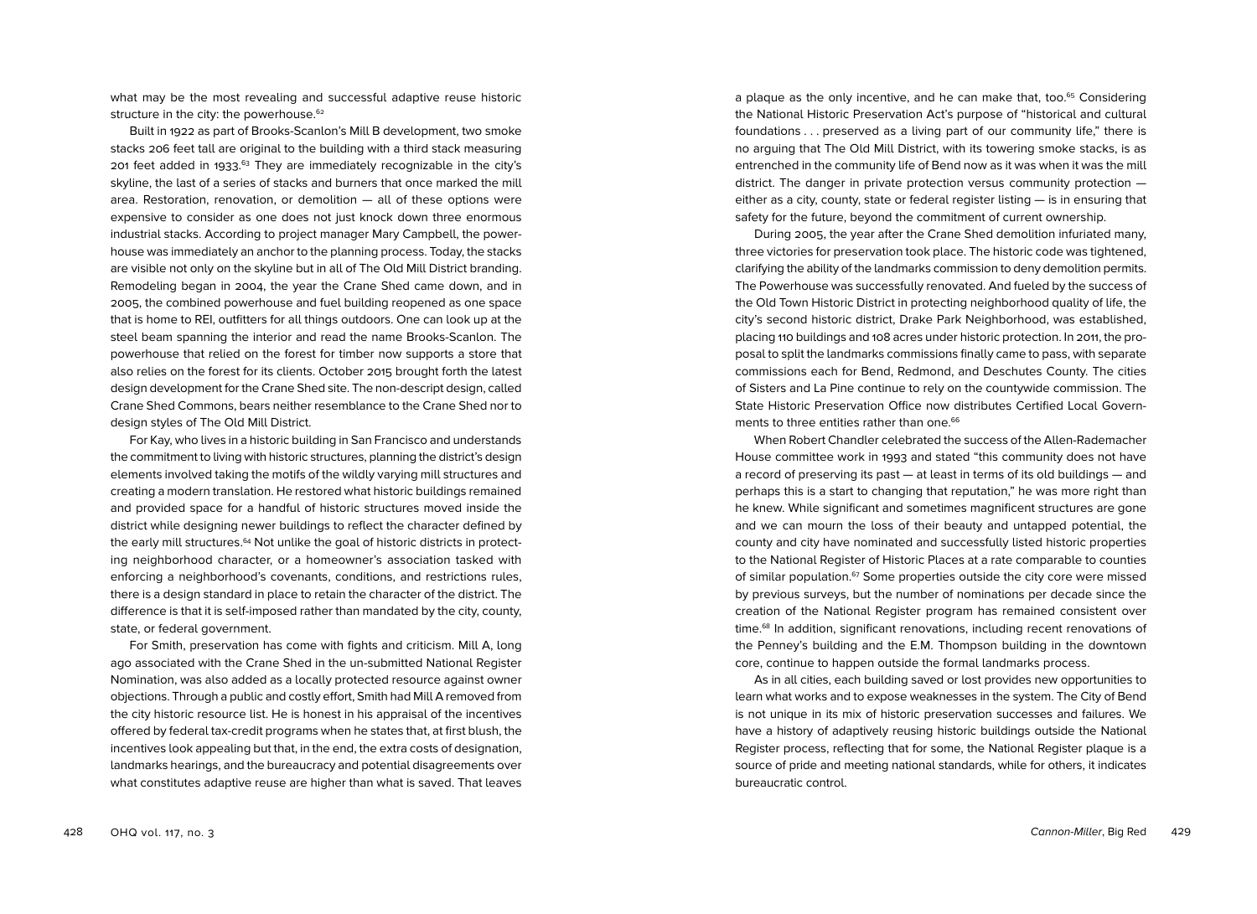what may be the most revealing and successful adaptive reuse historic structure in the city: the powerhouse.<sup>62</sup>

Built in 1922 as part of Brooks-Scanlon's Mill B development, two smoke stacks 206 feet tall are original to the building with a third stack measuring 201 feet added in 1933. 63 They are immediately recognizable in the city's skyline, the last of a series of stacks and burners that once marked the mill area. Restoration, renovation, or demolition — all of these options were expensive to consider as one does not just knock down three enormous industrial stacks. According to project manager Mary Campbell, the powerhouse was immediately an anchor to the planning process. Today, the stacks are visible not only on the skyline but in all of The Old Mill District branding. Remodeling began in 2004, the year the Crane Shed came down, and in 2005, the combined powerhouse and fuel building reopened as one space that is home to REI, outfitters for all things outdoors. One can look up at the steel beam spanning the interior and read the name Brooks-Scanlon. The powerhouse that relied on the forest for timber now supports a store that also relies on the forest for its clients. October 2015 brought forth the latest design development for the Crane Shed site. The non-descript design, called Crane Shed Commons, bears neither resemblance to the Crane Shed nor to design styles of The Old Mill District.

For Kay, who lives in a historic building in San Francisco and understands the commitment to living with historic structures, planning the district's design elements involved taking the motifs of the wildly varying mill structures and creating a modern translation. He restored what historic buildings remained and provided space for a handful of historic structures moved inside the district while designing newer buildings to reflect the character defined by the early mill structures.<sup>64</sup> Not unlike the goal of historic districts in protecting neighborhood character, or a homeowner's association tasked with enforcing a neighborhood's covenants, conditions, and restrictions rules, there is a design standard in place to retain the character of the district. The difference is that it is self-imposed rather than mandated by the city, county, state, or federal government.

For Smith, preservation has come with fights and criticism. Mill A, long ago associated with the Crane Shed in the un-submitted National Register Nomination, was also added as a locally protected resource against owner objections. Through a public and costly effort, Smith had Mill A removed from the city historic resource list. He is honest in his appraisal of the incentives offered by federal tax-credit programs when he states that, at first blush, the incentives look appealing but that, in the end, the extra costs of designation, landmarks hearings, and the bureaucracy and potential disagreements over what constitutes adaptive reuse are higher than what is saved. That leaves

a plaque as the only incentive, and he can make that, too.<sup>65</sup> Considering the National Historic Preservation Act's purpose of "historical and cultural foundations . . . preserved as a living part of our community life," there is no arguing that The Old Mill District, with its towering smoke stacks, is as entrenched in the community life of Bend now as it was when it was the mill district. The danger in private protection versus community protection either as a city, county, state or federal register listing — is in ensuring that safety for the future, beyond the commitment of current ownership.

During 2005, the year after the Crane Shed demolition infuriated many, three victories for preservation took place. The historic code was tightened, clarifying the ability of the landmarks commission to deny demolition permits. The Powerhouse was successfully renovated. And fueled by the success of the Old Town Historic District in protecting neighborhood quality of life, the city's second historic district, Drake Park Neighborhood, was established, placing 110 buildings and 108 acres under historic protection. In 2011, the proposal to split the landmarks commissions finally came to pass, with separate commissions each for Bend, Redmond, and Deschutes County. The cities of Sisters and La Pine continue to rely on the countywide commission. The State Historic Preservation Office now distributes Certified Local Governments to three entities rather than one.<sup>66</sup>

When Robert Chandler celebrated the success of the Allen-Rademacher House committee work in 1993 and stated "this community does not have a record of preserving its past — at least in terms of its old buildings — and perhaps this is a start to changing that reputation," he was more right than he knew. While significant and sometimes magnificent structures are gone and we can mourn the loss of their beauty and untapped potential, the county and city have nominated and successfully listed historic properties to the National Register of Historic Places at a rate comparable to counties of similar population.<sup>67</sup> Some properties outside the city core were missed by previous surveys, but the number of nominations per decade since the creation of the National Register program has remained consistent over time.68 In addition, significant renovations, including recent renovations of the Penney's building and the E.M. Thompson building in the downtown core, continue to happen outside the formal landmarks process.

As in all cities, each building saved or lost provides new opportunities to learn what works and to expose weaknesses in the system. The City of Bend is not unique in its mix of historic preservation successes and failures. We have a history of adaptively reusing historic buildings outside the National Register process, reflecting that for some, the National Register plaque is a source of pride and meeting national standards, while for others, it indicates bureaucratic control.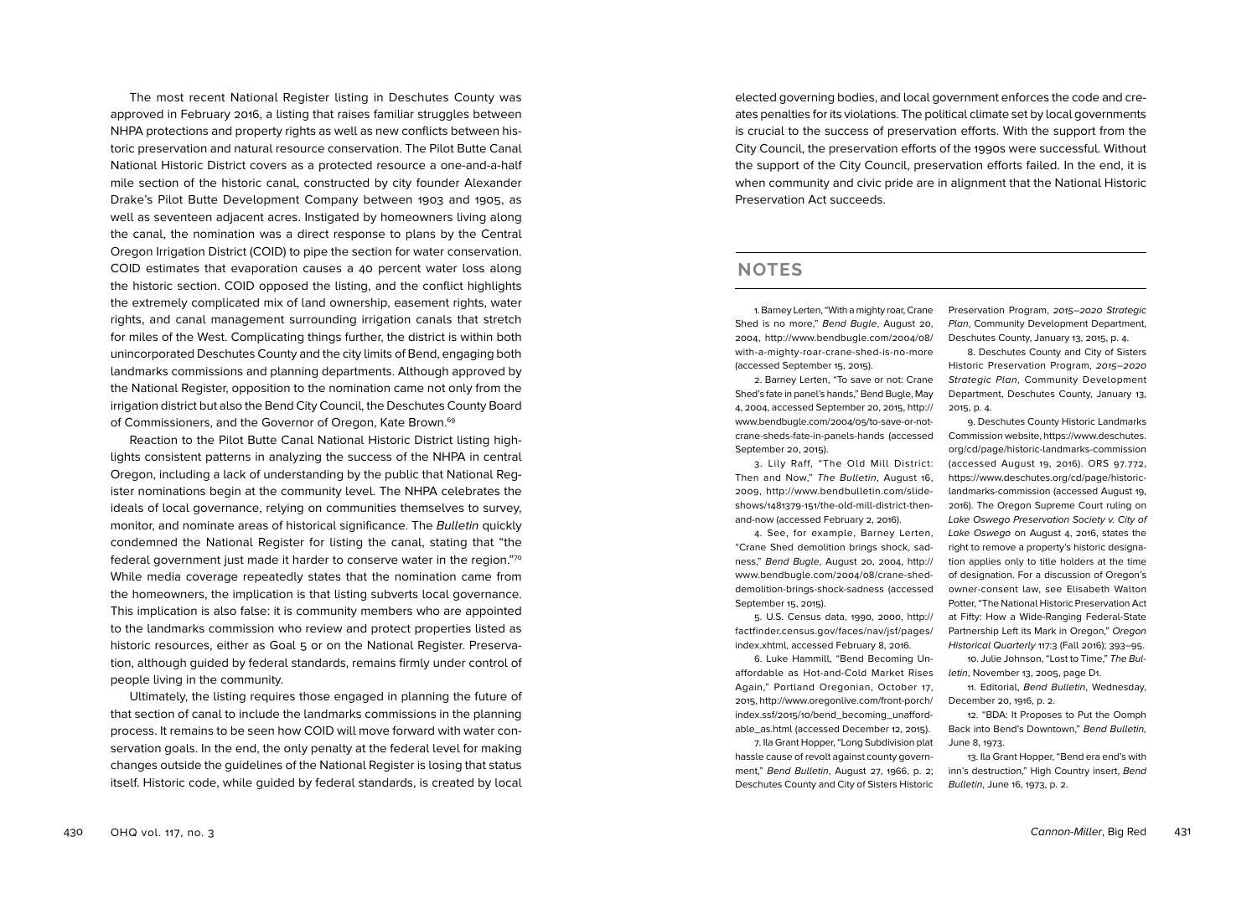The most recent National Register listing in Deschutes County was approved in February 2016, a listing that raises familiar struggles between NHPA protections and property rights as well as new conflicts between his toric preservation and natural resource conservation. The Pilot Butte Canal National Historic District covers as a protected resource a one-and-a-half mile section of the historic canal, constructed by city founder Alexander Drake's Pilot Butte Development Company between 1903 and 1905, as well as seventeen adjacent acres. Instigated by homeowners living along the canal, the nomination was a direct response to plans by the Central Oregon Irrigation District (COID) to pipe the section for water conservation. COID estimates that evaporation causes a 40 percent water loss along the historic section. COID opposed the listing, and the conflict highlights the extremely complicated mix of land ownership, easement rights, water rights, and canal management surrounding irrigation canals that stretch for miles of the West. Complicating things further, the district is within both unincorporated Deschutes County and the city limits of Bend, engaging both landmarks commissions and planning departments. Although approved by the National Register, opposition to the nomination came not only from the irrigation district but also the Bend City Council, the Deschutes County Board of Commissioners, and the Governor of Oregon, Kate Brown.<sup>69</sup>

Reaction to the Pilot Butte Canal National Historic District listing high lights consistent patterns in analyzing the success of the NHPA in central Oregon, including a lack of understanding by the public that National Reg ister nominations begin at the community level. The NHPA celebrates the ideals of local governance, relying on communities themselves to survey, monitor, and nominate areas of historical significance. The Bulletin quickly condemned the National Register for listing the canal, stating that "the federal government just made it harder to conserve water in the region."70 While media coverage repeatedly states that the nomination came from the homeowners, the implication is that listing subverts local governance. This implication is also false: it is community members who are appointed to the landmarks commission who review and protect properties listed as historic resources, either as Goal 5 or on the National Register. Preserva tion, although guided by federal standards, remains firmly under control of people living in the community.

Ultimately, the listing requires those engaged in planning the future of that section of canal to include the landmarks commissions in the planning process. It remains to be seen how COID will move forward with water con servation goals. In the end, the only penalty at the federal level for making changes outside the guidelines of the National Register is losing that status itself. Historic code, while guided by federal standards, is created by local

elected governing bodies, and local government enforces the code and cre ates penalties for its violations. The political climate set by local governments is crucial to the success of preservation efforts. With the support from the City Council, the preservation efforts of the 1990s were successful. Without the support of the City Council, preservation efforts failed. In the end, it is when community and civic pride are in alignment that the National Historic Preservation Act succeeds.

## **NOTES**

1. Barney Lerten, "With a mighty roar, Crane Shed is no more," Bend Bugle, August 20, 2004, http://www.bendbugle.com/2004 /08 / with-a-mighty-roar-crane-shed-is-no-more (accessed September 15, 2015).

2. Barney Lerten, "To save or not: Crane Shed's fate in panel's hands," Bend Bugle, May 4, 2004, accessed September 20, 2015, http:// www.bendbugle.com/2004 /05/to-save-or-notcrane-sheds-fate-in-panels-hands (accessed September 20, 2015). 3. Lily Raff, "The Old Mill District:

Then and Now," The Bulletin, August 16, 2009, http://www.bendbulletin.com/slide shows/1481379 -151/the-old-mill-district-thenand-now (accessed February 2, 2016). 4. See, for example, Barney Lerten,

"Crane Shed demolition brings shock, sad ness," Bend Bugle, August 20, 2004, http:// www.bendbugle.com/2004 /08/crane-sheddemolition-brings-shock-sadness (accessed September 15, 2015).

5. U.S. Census data, 1990, 2000, http:// factfinder.census.gov/faces/nav/jsf/pages/ index.xhtml, accessed February 8, 2016 .

6. Luke Hammill, "Bend Becoming Un affordable as Hot-and-Cold Market Rises Again," Portland Oregonian, October 17, 2015, http://www.oregonlive.com/front-porch/ index.ssf/2015 /10/bend\_becoming\_unafford able\_as.html (accessed December 12, 2015).

7. Ila Grant Hopper, "Long Subdivision plat hassle cause of revolt against county govern ment," Bend Bulletin, August 27, 1966, p. 2; Deschutes County and City of Sisters Historic

Preservation Program, 2015-2020 Strategic Plan, Community Development Department, Deschutes County, January 13, 2015, p. 4 .

8. Deschutes County and City of Sisters Historic Preservation Program, 2015-2020 Strategic Plan, Community Development Department, Deschutes County, January 13, 2015, p. 4 .

9. Deschutes County Historic Landmarks Commission website, https://www.deschutes. org/cd/page/historic-landmarks-commission (accessed August 19, 2016). ORS 97 .772, https://www.deschutes.org/cd/page/historiclandmarks-commission (accessed August 19, 2016). The Oregon Supreme Court ruling on Lake Oswego Preservation Society v. City of Lake Oswego on August 4, 2016, states the right to remove a property's historic designa tion applies only to title holders at the time of designation. For a discussion of Oregon's owner-consent law, see Elisabeth Walton Potter, "The National Historic Preservation Act at Fifty: How a Wide-Ranging Federal-State Partnership Left its Mark in Oregon," Oregon Historical Quarterly 117:3 (Fall 2016); 393-95.

10. Julie Johnson, "Lost to Time," The Bulletin, November 13, 2005, page D1.

11. Editorial, Bend Bulletin, Wednesday, December 20, 1916, p. 2 .

12. "BDA: It Proposes to Put the Oomph Back into Bend's Downtown," Bend Bulletin, June 8, 1973.

13. Ila Grant Hopper, "Bend era end's with inn's destruction," High Country insert, Bend Bulletin, June 16, 1973, p. 2.